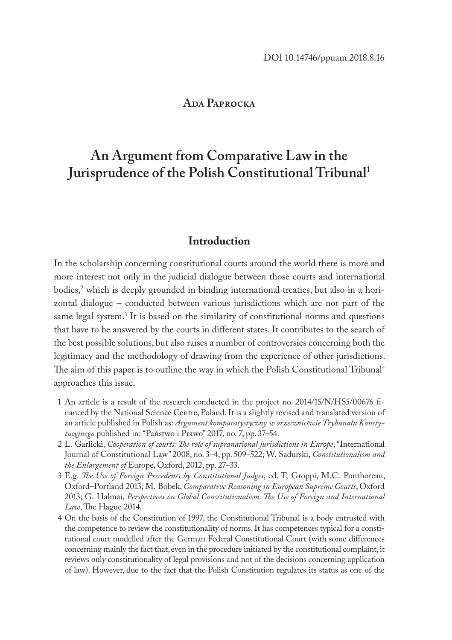### ADA PAPROCKA

# **An Argument from Comparative Law in the Jurisprudence of the Polish Constitutional Tribunal1**

# **Introduction**

In the scholarship concerning constitutional courts around the world there is more and more interest not only in the judicial dialogue between those courts and international bodies,<sup>2</sup> which is deeply grounded in binding international treaties, but also in a horizontal dialogue – conducted between various jurisdictions which are not part of the same legal system.<sup>3</sup> It is based on the similarity of constitutional norms and questions that have to be answered by the courts in different states. It contributes to the search of the best possible solutions, but also raises a number of controversies concerning both the legitimacy and the methodology of drawing from the experience of other jurisdictions. The aim of this paper is to outline the way in which the Polish Constitutional Tribunal4 approaches this issue.

<sup>1</sup> An article is a result of the research conducted in the project no. 2014/15/N/HS5/00676 financed by the National Science Centre, Poland. It is a slightly revised and translated version of an article published in Polish as: *Argument komparatystyczny w orzecznictwie Trybunału Konstytucyjnego* published in: "Państwo i Prawo" 2017, no. 7, pp. 37–54.

<sup>2</sup> L. Garlicki, *Cooperation of courts: The role of supranational jurisdictions in Europe*, "International Journal of Constitutional Law" 2008, no. 3*–*4, pp. 509*–*522; W. Sadurski, *Constitutionalism and the Enlargement of* Europe, Oxford, 2012, pp. 27*–*33.

<sup>3</sup> E.g. *The Use of Foreign Precedents by Constitutional Judges*, ed. T, Groppi, M.C. Ponthoreau, Oxford–Portland 2013; M. Bobek, *Comparative Reasoning in European Supreme Courts*, Oxford 2013; G. Halmai, *Perspectives on Global Constitutionalism. The Use of Foreign and International Law*, The Hague 2014.

<sup>4</sup> On the basis of the Constitution of 1997, the Constitutional Tribunal is a body entrusted with the competence to review the constitutionality of norms. It has competences typical for a constitutional court modelled after the German Federal Constitutional Court (with some differences concerning mainly the fact that, even in the procedure initiated by the constitutional complaint, it reviews only constitutionality of legal provisions and not of the decisions concerning application of law). However, due to the fact that the Polish Constitution regulates its status as one of the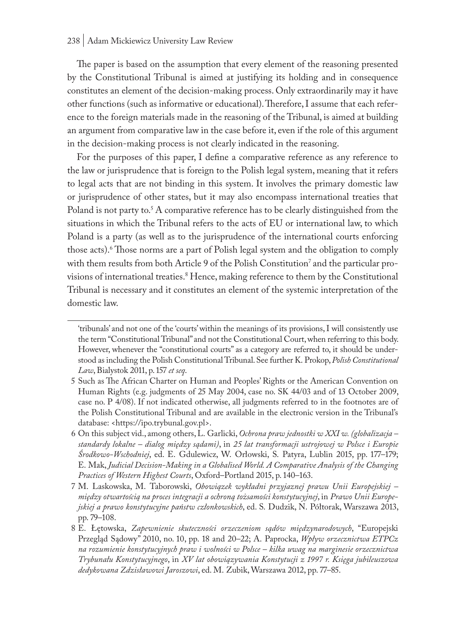The paper is based on the assumption that every element of the reasoning presented by the Constitutional Tribunal is aimed at justifying its holding and in consequence constitutes an element of the decision-making process. Only extraordinarily may it have other functions (such as informative or educational). Therefore, I assume that each reference to the foreign materials made in the reasoning of the Tribunal, is aimed at building an argument from comparative law in the case before it, even if the role of this argument in the decision-making process is not clearly indicated in the reasoning.

For the purposes of this paper, I define a comparative reference as any reference to the law or jurisprudence that is foreign to the Polish legal system, meaning that it refers to legal acts that are not binding in this system. It involves the primary domestic law or jurisprudence of other states, but it may also encompass international treaties that Poland is not party to.<sup>5</sup> A comparative reference has to be clearly distinguished from the situations in which the Tribunal refers to the acts of EU or international law, to which Poland is a party (as well as to the jurisprudence of the international courts enforcing those acts).6 Those norms are a part of Polish legal system and the obligation to comply with them results from both Article 9 of the Polish Constitution' and the particular provisions of international treaties.<sup>8</sup> Hence, making reference to them by the Constitutional Tribunal is necessary and it constitutes an element of the systemic interpretation of the domestic law.

<sup>&#</sup>x27;tribunals' and not one of the 'courts' within the meanings of its provisions, I will consistently use the term "Constitutional Tribunal" and not the Constitutional Court, when referring to this body. However, whenever the "constitutional courts" as a category are referred to, it should be understood as including the Polish Constitutional Tribunal. See further K. Prokop, *Polish Constitutional Law*, Bialystok 2011, p. 157 *et seq*.

<sup>5</sup> Such as The African Charter on Human and Peoples' Rights or the American Convention on Human Rights (e.g. judgments of 25 May 2004, case no. SK 44/03 and of 13 October 2009, case no. P 4/08). If not indicated otherwise, all judgments referred to in the footnotes are of the Polish Constitutional Tribunal and are available in the electronic version in the Tribunal's database: <https://ipo.trybunal.gov.pl>.

<sup>6</sup> On this subject vid., among others, L. Garlicki, *Ochrona praw jednostki w XXI w. (globalizacja – standardy lokalne – dialog między sądami)*, in *25 lat transformacji ustrojowej w Polsce i Europie Środkowo-Wschodniej*, ed. E. Gdulewicz, W. Orłowski, S. Patyra, Lublin 2015, pp. 177–179; E. Mak, *Judicial Decision-Making in a Globalised World. A Comparative Analysis of the Changing Practices of Western Highest Courts*, Oxford–Portland 2015, p. 140–163.

<sup>7</sup> M. Laskowska, M. Taborowski, *Obowiązek wykładni przyjaznej prawu Unii Europejskiej – między otwartością na proces integracji a ochroną tożsamości konstytucyjnej*, in *Prawo Unii Europejskiej a prawo konstytucyjne państw członkowskich*, ed. S. Dudzik, N. Półtorak, Warszawa 2013, pp. 79–108.

<sup>8</sup> E. Łętowska, *Zapewnienie skuteczności orzeczeniom sądów międzynarodowych*, "Europejski Przegląd Sądowy" 2010, no. 10, pp. 18 and 20–22; A. Paprocka, *Wpływ orzecznictwa ETPCz na rozumienie konstytucyjnych praw i wolności w Polsce – kilka uwag na marginesie orzecznictwa Trybunału Konstytucyjnego*, in *XV lat obowiązywania Konstytucji z 1997 r. Księga jubileuszowa dedykowana Zdzisławowi Jaroszowi*, ed. M. Zubik, Warszawa 2012, pp. 77–85.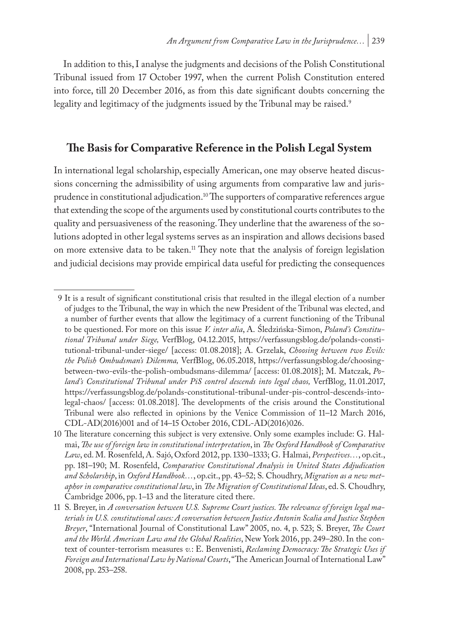In addition to this, I analyse the judgments and decisions of the Polish Constitutional Tribunal issued from 17 October 1997, when the current Polish Constitution entered into force, till 20 December 2016, as from this date significant doubts concerning the legality and legitimacy of the judgments issued by the Tribunal may be raised.<sup>9</sup>

# **The Basis for Comparative Reference in the Polish Legal System**

In international legal scholarship, especially American, one may observe heated discussions concerning the admissibility of using arguments from comparative law and jurisprudence in constitutional adjudication.<sup>10</sup> The supporters of comparative references argue that extending the scope of the arguments used by constitutional courts contributes to the quality and persuasiveness of the reasoning. They underline that the awareness of the solutions adopted in other legal systems serves as an inspiration and allows decisions based on more extensive data to be taken.<sup>11</sup> They note that the analysis of foreign legislation and judicial decisions may provide empirical data useful for predicting the consequences

<sup>9</sup> It is a result of significant constitutional crisis that resulted in the illegal election of a number of judges to the Tribunal, the way in which the new President of the Tribunal was elected, and a number of further events that allow the legitimacy of a current functioning of the Tribunal to be questioned. For more on this issue *V. inter alia*, A. Śledzińska-Simon, *Poland's Constitutional Tribunal under Siege,* VerfBlog, 04.12.2015, https://verfassungsblog.de/polands-constitutional-tribunal-under-siege/ [access: 01.08.2018]; A. Grzelak, *Choosing between two Evils: the Polish Ombudsman's Dilemma,* VerfBlog, 06.05.2018, https://verfassungsblog.de/choosingbetween-two-evils-the-polish-ombudsmans-dilemma/ [access: 01.08.2018]; M. Matczak, *Poland's Constitutional Tribunal under PiS control descends into legal chaos,* VerfBlog, 11.01.2017, https://verfassungsblog.de/polands-constitutional-tribunal-under-pis-control-descends-intolegal-chaos/ [access: 01.08.2018]. The developments of the crisis around the Constitutional Tribunal were also reflected in opinions by the Venice Commission of 11–12 March 2016, CDL-AD(2016)001 and of 14–15 October 2016, CDL-AD(2016)026.

<sup>10</sup> The literature concerning this subject is very extensive. Only some examples include: G. Halmai, *The use of foreign law in constitutional interpretation*, in *The Oxford Handbook of Comparative Law*, ed. M. Rosenfeld, A. Sajó, Oxford 2012, pp. 1330–1333; G. Halmai, *Perspectives…*, op.cit., pp. 181–190; M. Rosenfeld, *Comparative Constitutional Analysis in United States Adjudication and Scholarship*, in *Oxford Handbook…*, op.cit., pp. 43–52; S. Choudhry, *Migration as a new metaphor in comparative constitutional law*, in *The Migration of Constitutional Ideas*, ed. S. Choudhry, Cambridge 2006, pp. 1*–*13 and the literature cited there.

<sup>11</sup> S. Breyer, in *A conversation between U.S. Supreme Court justices. The relevance of foreign legal materials in U.S. constitutional cases: A conversation between Justice Antonin Scalia and Justice Stephen Breyer*, "International Journal of Constitutional Law" 2005, no. 4, p. 523; S. Breyer, *The Court and the World. American Law and the Global Realities*, New York 2016, pp. 249–280. In the context of counter-terrorism measures *v.*: E. Benvenisti, *Reclaming Democracy: The Strategic Uses if Foreign and International Law by National Courts*, "The American Journal of International Law" 2008, pp. 253–258.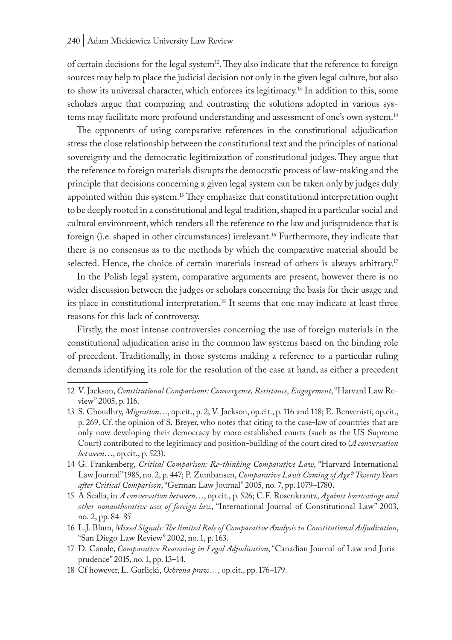of certain decisions for the legal system<sup>12</sup>. They also indicate that the reference to foreign sources may help to place the judicial decision not only in the given legal culture, but also to show its universal character, which enforces its legitimacy.<sup>13</sup> In addition to this, some scholars argue that comparing and contrasting the solutions adopted in various systems may facilitate more profound understanding and assessment of one's own system.14

The opponents of using comparative references in the constitutional adjudication stress the close relationship between the constitutional text and the principles of national sovereignty and the democratic legitimization of constitutional judges. They argue that the reference to foreign materials disrupts the democratic process of law-making and the principle that decisions concerning a given legal system can be taken only by judges duly appointed within this system.15 They emphasize that constitutional interpretation ought to be deeply rooted in a constitutional and legal tradition, shaped in a particular social and cultural environment, which renders all the reference to the law and jurisprudence that is foreign (i.e. shaped in other circumstances) irrelevant.16 Furthermore, they indicate that there is no consensus as to the methods by which the comparative material should be selected. Hence, the choice of certain materials instead of others is always arbitrary.<sup>17</sup>

In the Polish legal system, comparative arguments are present, however there is no wider discussion between the judges or scholars concerning the basis for their usage and its place in constitutional interpretation.18 It seems that one may indicate at least three reasons for this lack of controversy.

Firstly, the most intense controversies concerning the use of foreign materials in the constitutional adjudication arise in the common law systems based on the binding role of precedent. Traditionally, in those systems making a reference to a particular ruling demands identifying its role for the resolution of the case at hand, as either a precedent

- 14 G. Frankenberg, *Critical Comparison: Re-thinking Comparative Law*, "Harvard International Law Journal" 1985, no. 2, p. 447; P. Zumbansen, *Comparative Law's Coming of Age? Twenty Years after Critical Comparison*, "German Law Journal" 2005, no. 7, pp. 1079–1780.
- 15 A Scalia, in *A conversation between*…, op.cit., p. 526; C.F. Rosenkrantz, *Against borrowings and other nonauthorative uses of foreign law*, "International Journal of Constitutional Law" 2003, no. 2, pp. 84–85
- 16 L.J. Blum, *Mixed Signals: The limited Role of Comparative Analysis in Constitutional Adjudication*, "San Diego Law Review" 2002, no. 1, p. 163.
- 17 D. Canale, *Comparative Reasoning in Legal Adjudication*, "Canadian Journal of Law and Jurisprudence" 2015, no. 1, pp. 13–14.
- 18 Cf however, L. Garlicki, *Ochrona praw…*, op.cit., pp. 176–179.

<sup>12</sup> V. Jackson, *Constitutional Comparisons: Convergence, Resistance, Engagement*, "Harvard Law Review" 2005, p. 116.

<sup>13</sup> S. Choudhry, *Migration*…, op.cit., p. 2; V. Jackson, op.cit., p. 116 and 118; E. Benvenisti, op.cit., p. 269. Cf. the opinion of S. Breyer, who notes that citing to the case-law of countries that are only now developing their democracy by more established courts (such as the US Supreme Court) contributed to the legitimacy and position-building of the court cited to (*A conversation between*…, op.cit., p. 523).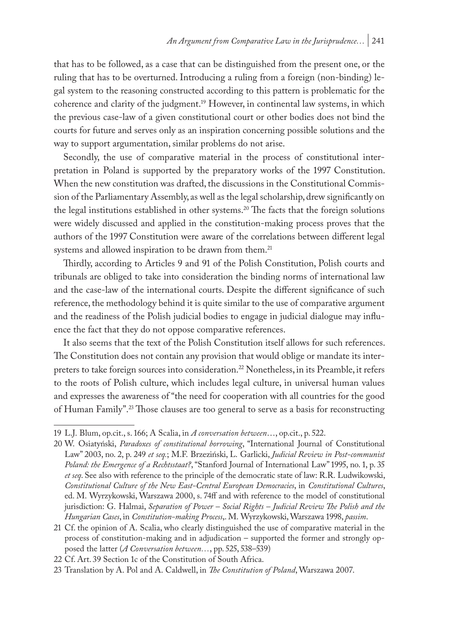that has to be followed, as a case that can be distinguished from the present one, or the ruling that has to be overturned. Introducing a ruling from a foreign (non-binding) legal system to the reasoning constructed according to this pattern is problematic for the coherence and clarity of the judgment.19 However, in continental law systems, in which the previous case-law of a given constitutional court or other bodies does not bind the courts for future and serves only as an inspiration concerning possible solutions and the way to support argumentation, similar problems do not arise.

Secondly, the use of comparative material in the process of constitutional interpretation in Poland is supported by the preparatory works of the 1997 Constitution. When the new constitution was drafted, the discussions in the Constitutional Commission of the Parliamentary Assembly, as well as the legal scholarship, drew significantly on the legal institutions established in other systems.<sup>20</sup> The facts that the foreign solutions were widely discussed and applied in the constitution-making process proves that the authors of the 1997 Constitution were aware of the correlations between different legal systems and allowed inspiration to be drawn from them.<sup>21</sup>

Thirdly, according to Articles 9 and 91 of the Polish Constitution, Polish courts and tribunals are obliged to take into consideration the binding norms of international law and the case-law of the international courts. Despite the different significance of such reference, the methodology behind it is quite similar to the use of comparative argument and the readiness of the Polish judicial bodies to engage in judicial dialogue may influence the fact that they do not oppose comparative references.

It also seems that the text of the Polish Constitution itself allows for such references. The Constitution does not contain any provision that would oblige or mandate its interpreters to take foreign sources into consideration.22 Nonetheless, in its Preamble, it refers to the roots of Polish culture, which includes legal culture, in universal human values and expresses the awareness of "the need for cooperation with all countries for the good of Human Family".23 Those clauses are too general to serve as a basis for reconstructing

<sup>19</sup> L.J. Blum, op.cit., s. 166; A Scalia, in *A conversation between*…, op.cit., p. 522.

<sup>20</sup> W. Osiatyński, *Paradoxes of constitutional borrowing*, "International Journal of Constitutional Law" 2003, no. 2, p. 249 *et seq.*; M.F. Brzeziński, L. Garlicki, *Judicial Review in Post-communist Poland: the Emergence of a Rechtsstaat?*, "Stanford Journal of International Law" 1995, no. 1, p. 35 *et seq*. See also with reference to the principle of the democratic state of law: R.R. Ludwikowski, *Constitutional Culture of the New East-Central European Democracies*, in *Constitutional Cultures*, ed. M. Wyrzykowski, Warszawa 2000, s. 74ff and with reference to the model of constitutional jurisdiction: G. Halmai, *Separation of Power – Social Rights – Judicial Review The Polish and the Hungarian Cases*, in *Constitution-making Process*,. M. Wyrzykowski, Warszawa 1998, *passim*.

<sup>21</sup> Cf. the opinion of A. Scalia, who clearly distinguished the use of comparative material in the process of constitution-making and in adjudication – supported the former and strongly opposed the latter (*A Conversation between…*, pp. 525, 538–539)

<sup>22</sup> Cf. Art. 39 Section 1c of the Constitution of South Africa.

<sup>23</sup> Translation by A. Pol and A. Caldwell, in *The Constitution of Poland*, Warszawa 2007.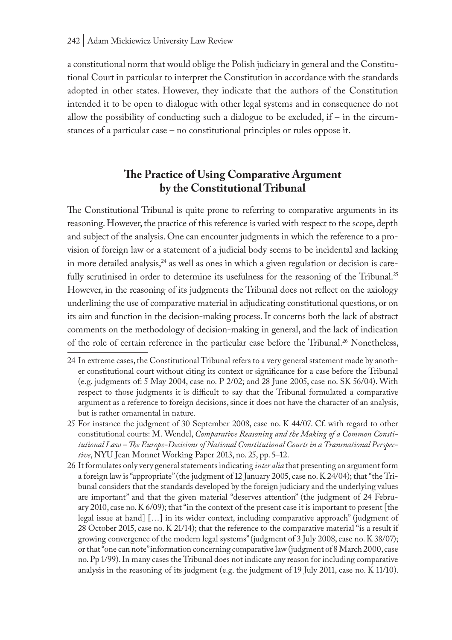a constitutional norm that would oblige the Polish judiciary in general and the Constitutional Court in particular to interpret the Constitution in accordance with the standards adopted in other states. However, they indicate that the authors of the Constitution intended it to be open to dialogue with other legal systems and in consequence do not allow the possibility of conducting such a dialogue to be excluded, if – in the circumstances of a particular case – no constitutional principles or rules oppose it.

# **The Practice of Using Comparative Argument by the Constitutional Tribunal**

The Constitutional Tribunal is quite prone to referring to comparative arguments in its reasoning. However, the practice of this reference is varied with respect to the scope, depth and subject of the analysis. One can encounter judgments in which the reference to a provision of foreign law or a statement of a judicial body seems to be incidental and lacking in more detailed analysis, $24$  as well as ones in which a given regulation or decision is carefully scrutinised in order to determine its usefulness for the reasoning of the Tribunal.<sup>25</sup> However, in the reasoning of its judgments the Tribunal does not reflect on the axiology underlining the use of comparative material in adjudicating constitutional questions, or on its aim and function in the decision-making process. It concerns both the lack of abstract comments on the methodology of decision-making in general, and the lack of indication of the role of certain reference in the particular case before the Tribunal.<sup>26</sup> Nonetheless,

<sup>24</sup> In extreme cases, the Constitutional Tribunal refers to a very general statement made by another constitutional court without citing its context or significance for a case before the Tribunal (e.g. judgments of: 5 May 2004, case no. P 2/02; and 28 June 2005, case no. SK 56/04). With respect to those judgments it is difficult to say that the Tribunal formulated a comparative argument as a reference to foreign decisions, since it does not have the character of an analysis, but is rather ornamental in nature.

<sup>25</sup> For instance the judgment of 30 September 2008, case no. K 44/07. Cf. with regard to other constitutional courts: M. Wendel, *Comparative Reasoning and the Making of a Common Constitutional Law – The Europe-Decisions of National Constitutional Courts in a Transnational Perspective*, NYU Jean Monnet Working Paper 2013, no. 25, pp. 5–12.

<sup>26</sup> It formulates only very general statements indicating *inter alia* that presenting an argument form a foreign law is "appropriate" (the judgment of 12 January 2005, case no. K 24/04); that "the Tribunal considers that the standards developed by the foreign judiciary and the underlying values are important" and that the given material "deserves attention" (the judgment of 24 February 2010, case no. K 6/09); that "in the context of the present case it is important to present [the legal issue at hand] […] in its wider context, including comparative approach" (judgment of 28 October 2015, case no. K 21/14); that the reference to the comparative material "is a result if growing convergence of the modern legal systems" (judgment of 3 July 2008, case no. K 38/07); or that "one can note" information concerning comparative law (judgment of 8 March 2000, case no. Pp 1/99). In many cases the Tribunal does not indicate any reason for including comparative analysis in the reasoning of its judgment (e.g. the judgment of 19 July 2011, case no. K 11/10).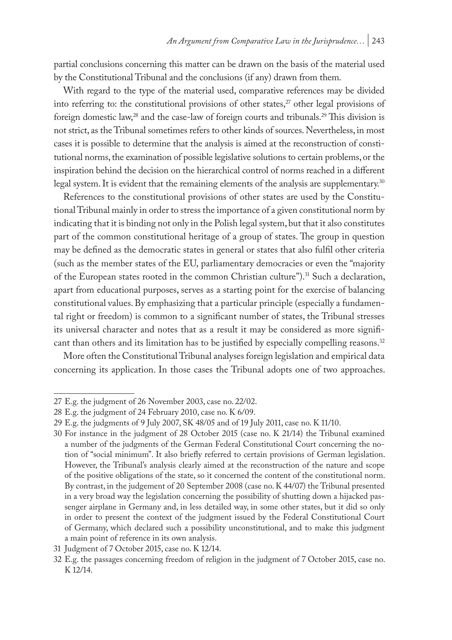partial conclusions concerning this matter can be drawn on the basis of the material used by the Constitutional Tribunal and the conclusions (if any) drawn from them.

With regard to the type of the material used, comparative references may be divided into referring to: the constitutional provisions of other states, $27$  other legal provisions of foreign domestic law,<sup>28</sup> and the case-law of foreign courts and tribunals.<sup>29</sup> This division is not strict, as the Tribunal sometimes refers to other kinds of sources. Nevertheless, in most cases it is possible to determine that the analysis is aimed at the reconstruction of constitutional norms, the examination of possible legislative solutions to certain problems, or the inspiration behind the decision on the hierarchical control of norms reached in a different legal system. It is evident that the remaining elements of the analysis are supplementary.30

References to the constitutional provisions of other states are used by the Constitutional Tribunal mainly in order to stress the importance of a given constitutional norm by indicating that it is binding not only in the Polish legal system, but that it also constitutes part of the common constitutional heritage of a group of states. The group in question may be defined as the democratic states in general or states that also fulfil other criteria (such as the member states of the EU, parliamentary democracies or even the "majority of the European states rooted in the common Christian culture").<sup>31</sup> Such a declaration, apart from educational purposes, serves as a starting point for the exercise of balancing constitutional values. By emphasizing that a particular principle (especially a fundamental right or freedom) is common to a significant number of states, the Tribunal stresses its universal character and notes that as a result it may be considered as more significant than others and its limitation has to be justified by especially compelling reasons.32

More often the Constitutional Tribunal analyses foreign legislation and empirical data concerning its application. In those cases the Tribunal adopts one of two approaches.

<sup>27</sup> E.g. the judgment of 26 November 2003, case no. 22/02.

<sup>28</sup> E.g. the judgment of 24 February 2010, case no. K 6/09.

<sup>29</sup> E.g. the judgments of 9 July 2007, SK 48/05 and of 19 July 2011, case no. K 11/10.

<sup>30</sup> For instance in the judgment of 28 October 2015 (case no. K 21/14) the Tribunal examined a number of the judgments of the German Federal Constitutional Court concerning the notion of "social minimum". It also briefly referred to certain provisions of German legislation. However, the Tribunal's analysis clearly aimed at the reconstruction of the nature and scope of the positive obligations of the state, so it concerned the content of the constitutional norm. By contrast, in the judgement of 20 September 2008 (case no. K 44/07) the Tribunal presented in a very broad way the legislation concerning the possibility of shutting down a hijacked passenger airplane in Germany and, in less detailed way, in some other states, but it did so only in order to present the context of the judgment issued by the Federal Constitutional Court of Germany, which declared such a possibility unconstitutional, and to make this judgment a main point of reference in its own analysis.

<sup>31</sup> Judgment of 7 October 2015, case no. K 12/14.

<sup>32</sup> E.g. the passages concerning freedom of religion in the judgment of 7 October 2015, case no. K 12/14.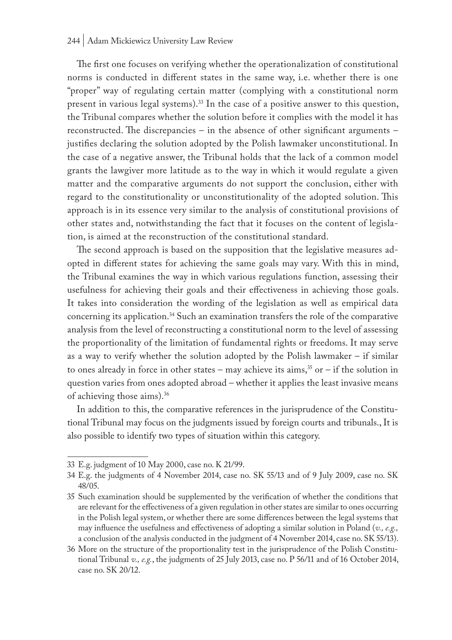#### 244 | Adam Mickiewicz University Law Review

The first one focuses on verifying whether the operationalization of constitutional norms is conducted in different states in the same way, i.e. whether there is one "proper" way of regulating certain matter (complying with a constitutional norm present in various legal systems).<sup>33</sup> In the case of a positive answer to this question, the Tribunal compares whether the solution before it complies with the model it has reconstructed. The discrepancies – in the absence of other significant arguments – justifies declaring the solution adopted by the Polish lawmaker unconstitutional. In the case of a negative answer, the Tribunal holds that the lack of a common model grants the lawgiver more latitude as to the way in which it would regulate a given matter and the comparative arguments do not support the conclusion, either with regard to the constitutionality or unconstitutionality of the adopted solution. This approach is in its essence very similar to the analysis of constitutional provisions of other states and, notwithstanding the fact that it focuses on the content of legislation, is aimed at the reconstruction of the constitutional standard.

The second approach is based on the supposition that the legislative measures adopted in different states for achieving the same goals may vary. With this in mind, the Tribunal examines the way in which various regulations function, assessing their usefulness for achieving their goals and their effectiveness in achieving those goals. It takes into consideration the wording of the legislation as well as empirical data concerning its application.34 Such an examination transfers the role of the comparative analysis from the level of reconstructing a constitutional norm to the level of assessing the proportionality of the limitation of fundamental rights or freedoms. It may serve as a way to verify whether the solution adopted by the Polish lawmaker – if similar to ones already in force in other states – may achieve its aims,<sup>35</sup> or – if the solution in question varies from ones adopted abroad – whether it applies the least invasive means of achieving those aims).36

In addition to this, the comparative references in the jurisprudence of the Constitutional Tribunal may focus on the judgments issued by foreign courts and tribunals., It is also possible to identify two types of situation within this category.

<sup>33</sup> E.g. judgment of 10 May 2000, case no. K 21/99.

<sup>34</sup> E.g. the judgments of 4 November 2014, case no. SK 55/13 and of 9 July 2009, case no. SK 48/05.

<sup>35</sup> Such examination should be supplemented by the verification of whether the conditions that are relevant for the effectiveness of a given regulation in other states are similar to ones occurring in the Polish legal system, or whether there are some differences between the legal systems that may influence the usefulness and effectiveness of adopting a similar solution in Poland (*v., e.g.,* a conclusion of the analysis conducted in the judgment of 4 November 2014, case no. SK 55/13).

<sup>36</sup> More on the structure of the proportionality test in the jurisprudence of the Polish Constitutional Tribunal *v., e.g.*, the judgments of 25 July 2013, case no. P 56/11 and of 16 October 2014, case no. SK 20/12.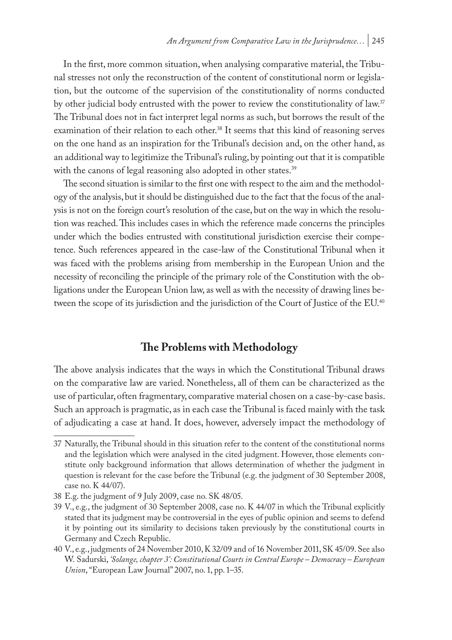In the first, more common situation, when analysing comparative material, the Tribunal stresses not only the reconstruction of the content of constitutional norm or legislation, but the outcome of the supervision of the constitutionality of norms conducted by other judicial body entrusted with the power to review the constitutionality of law.<sup>37</sup> The Tribunal does not in fact interpret legal norms as such, but borrows the result of the examination of their relation to each other.38 It seems that this kind of reasoning serves on the one hand as an inspiration for the Tribunal's decision and, on the other hand, as an additional way to legitimize the Tribunal's ruling, by pointing out that it is compatible with the canons of legal reasoning also adopted in other states.<sup>39</sup>

The second situation is similar to the first one with respect to the aim and the methodology of the analysis, but it should be distinguished due to the fact that the focus of the analysis is not on the foreign court's resolution of the case, but on the way in which the resolution was reached. This includes cases in which the reference made concerns the principles under which the bodies entrusted with constitutional jurisdiction exercise their competence. Such references appeared in the case-law of the Constitutional Tribunal when it was faced with the problems arising from membership in the European Union and the necessity of reconciling the principle of the primary role of the Constitution with the obligations under the European Union law, as well as with the necessity of drawing lines between the scope of its jurisdiction and the jurisdiction of the Court of Justice of the EU.<sup>40</sup>

# **The Problems with Methodology**

The above analysis indicates that the ways in which the Constitutional Tribunal draws on the comparative law are varied. Nonetheless, all of them can be characterized as the use of particular, often fragmentary, comparative material chosen on a case-by-case basis. Such an approach is pragmatic, as in each case the Tribunal is faced mainly with the task of adjudicating a case at hand. It does, however, adversely impact the methodology of

<sup>37</sup> Naturally, the Tribunal should in this situation refer to the content of the constitutional norms and the legislation which were analysed in the cited judgment. However, those elements constitute only background information that allows determination of whether the judgment in question is relevant for the case before the Tribunal (e.g. the judgment of 30 September 2008, case no. K 44/07).

<sup>38</sup> E.g. the judgment of 9 July 2009, case no. SK 48/05.

<sup>39</sup> V., e.g., the judgment of 30 September 2008, case no. K 44/07 in which the Tribunal explicitly stated that its judgment may be controversial in the eyes of public opinion and seems to defend it by pointing out its similarity to decisions taken previously by the constitutional courts in Germany and Czech Republic.

<sup>40</sup> V., e.g., judgments of 24 November 2010, K 32/09 and of 16 November 2011, SK 45/09. See also W. Sadurski, *'Solange, chapter 3': Constitutional Courts in Central Europe – Democracy – European Union*, "European Law Journal" 2007, no. 1, pp. 1–35.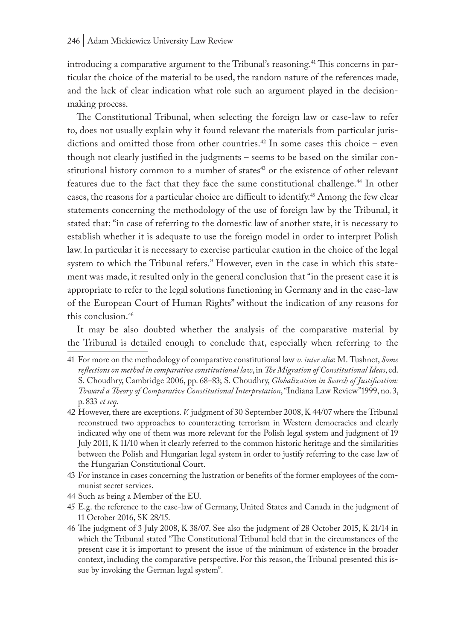introducing a comparative argument to the Tribunal's reasoning.<sup>41</sup> This concerns in particular the choice of the material to be used, the random nature of the references made, and the lack of clear indication what role such an argument played in the decisionmaking process.

The Constitutional Tribunal, when selecting the foreign law or case-law to refer to, does not usually explain why it found relevant the materials from particular jurisdictions and omitted those from other countries.<sup>42</sup> In some cases this choice – even though not clearly justified in the judgments – seems to be based on the similar constitutional history common to a number of states<sup>43</sup> or the existence of other relevant features due to the fact that they face the same constitutional challenge.44 In other cases, the reasons for a particular choice are difficult to identify.45 Among the few clear statements concerning the methodology of the use of foreign law by the Tribunal, it stated that: "in case of referring to the domestic law of another state, it is necessary to establish whether it is adequate to use the foreign model in order to interpret Polish law. In particular it is necessary to exercise particular caution in the choice of the legal system to which the Tribunal refers." However, even in the case in which this statement was made, it resulted only in the general conclusion that "in the present case it is appropriate to refer to the legal solutions functioning in Germany and in the case-law of the European Court of Human Rights" without the indication of any reasons for this conclusion.<sup>46</sup>

It may be also doubted whether the analysis of the comparative material by the Tribunal is detailed enough to conclude that, especially when referring to the

- 41 For more on the methodology of comparative constitutional law *v. inter alia*: M. Tushnet, *Some reflections on method in comparative constitutional law*, in *The Migration of Constitutional Ideas*, ed. S. Choudhry, Cambridge 2006, pp. 68–83; S. Choudhry, *Globalization in Search of Justification: Toward a Theory of Comparative Constitutional Interpretation*, "Indiana Law Review"1999, no. 3, p. 833 *et seq*.
- 42 However, there are exceptions. *V.* judgment of 30 September 2008, K 44/07 where the Tribunal reconstrued two approaches to counteracting terrorism in Western democracies and clearly indicated why one of them was more relevant for the Polish legal system and judgment of 19 July 2011, K 11/10 when it clearly referred to the common historic heritage and the similarities between the Polish and Hungarian legal system in order to justify referring to the case law of the Hungarian Constitutional Court.
- 43 For instance in cases concerning the lustration or benefits of the former employees of the communist secret services.
- 44 Such as being a Member of the EU.
- 45 E.g. the reference to the case-law of Germany, United States and Canada in the judgment of 11 October 2016, SK 28/15.
- 46 The judgment of 3 July 2008, K 38/07. See also the judgment of 28 October 2015, K 21/14 in which the Tribunal stated "The Constitutional Tribunal held that in the circumstances of the present case it is important to present the issue of the minimum of existence in the broader context, including the comparative perspective. For this reason, the Tribunal presented this issue by invoking the German legal system".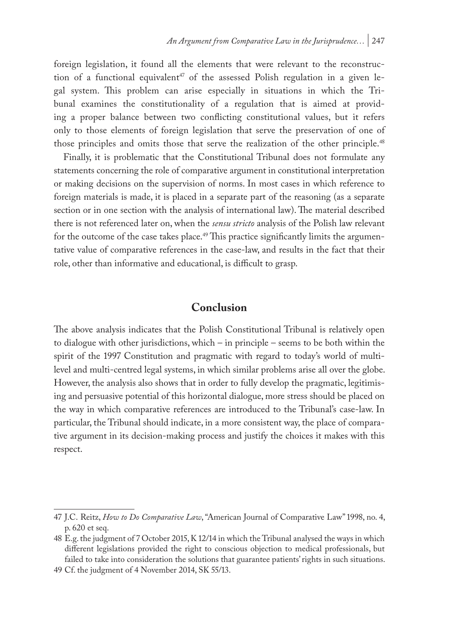foreign legislation, it found all the elements that were relevant to the reconstruction of a functional equivalent<sup>47</sup> of the assessed Polish regulation in a given legal system. This problem can arise especially in situations in which the Tribunal examines the constitutionality of a regulation that is aimed at providing a proper balance between two conflicting constitutional values, but it refers only to those elements of foreign legislation that serve the preservation of one of those principles and omits those that serve the realization of the other principle.<sup>48</sup>

Finally, it is problematic that the Constitutional Tribunal does not formulate any statements concerning the role of comparative argument in constitutional interpretation or making decisions on the supervision of norms. In most cases in which reference to foreign materials is made, it is placed in a separate part of the reasoning (as a separate section or in one section with the analysis of international law). The material described there is not referenced later on, when the *sensu stricto* analysis of the Polish law relevant for the outcome of the case takes place.<sup>49</sup> This practice significantly limits the argumentative value of comparative references in the case-law, and results in the fact that their role, other than informative and educational, is difficult to grasp.

# **Conclusion**

The above analysis indicates that the Polish Constitutional Tribunal is relatively open to dialogue with other jurisdictions, which – in principle – seems to be both within the spirit of the 1997 Constitution and pragmatic with regard to today's world of multilevel and multi-centred legal systems, in which similar problems arise all over the globe. However, the analysis also shows that in order to fully develop the pragmatic, legitimising and persuasive potential of this horizontal dialogue, more stress should be placed on the way in which comparative references are introduced to the Tribunal's case-law. In particular, the Tribunal should indicate, in a more consistent way, the place of comparative argument in its decision-making process and justify the choices it makes with this respect.

<sup>47</sup> J.C. Reitz, *How to Do Comparative Law*, "American Journal of Comparative Law" 1998, no. 4, p. 620 et seq.

<sup>48</sup> E.g. the judgment of 7 October 2015, K 12/14 in which the Tribunal analysed the ways in which different legislations provided the right to conscious objection to medical professionals, but failed to take into consideration the solutions that guarantee patients' rights in such situations.

<sup>49</sup> Cf. the judgment of 4 November 2014, SK 55/13.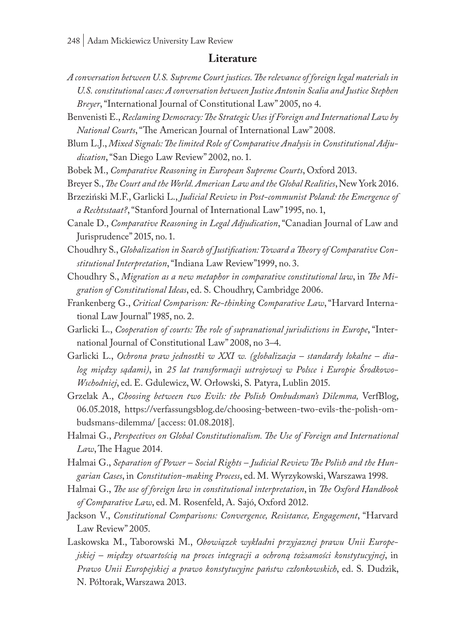#### **Literature**

- *A conversation between U.S. Supreme Court justices. The relevance of foreign legal materials in U.S. constitutional cases: A conversation between Justice Antonin Scalia and Justice Stephen Breyer*, "International Journal of Constitutional Law" 2005, no 4.
- Benvenisti E., *Reclaming Democracy: The Strategic Uses if Foreign and International Law by National Courts*, "The American Journal of International Law" 2008.
- Blum L.J., *Mixed Signals: The limited Role of Comparative Analysis in Constitutional Adjudication*, "San Diego Law Review" 2002, no. 1.
- Bobek M., *Comparative Reasoning in European Supreme Courts*, Oxford 2013.
- Breyer S., *The Court and the World. American Law and the Global Realities*, New York 2016.
- Brzeziński M.F., Garlicki L., *Judicial Review in Post-communist Poland: the Emergence of a Rechtsstaat?*, "Stanford Journal of International Law" 1995, no. 1,
- Canale D., *Comparative Reasoning in Legal Adjudication*, "Canadian Journal of Law and Jurisprudence" 2015, no. 1.
- Choudhry S., *Globalization in Search of Justification: Toward a Theory of Comparative Constitutional Interpretation*, "Indiana Law Review"1999, no. 3.
- Choudhry S., *Migration as a new metaphor in comparative constitutional law*, in *The Migration of Constitutional Ideas*, ed. S. Choudhry, Cambridge 2006.
- Frankenberg G., *Critical Comparison: Re-thinking Comparative Law*, "Harvard International Law Journal" 1985, no. 2.
- Garlicki L., *Cooperation of courts: The role of supranational jurisdictions in Europe*, "International Journal of Constitutional Law" 2008, no 3*–*4.
- Garlicki L., *Ochrona praw jednostki w XXI w. (globalizacja standardy lokalne dialog między sądami)*, in *25 lat transformacji ustrojowej w Polsce i Europie Środkowo-Wschodniej*, ed. E. Gdulewicz, W. Orłowski, S. Patyra, Lublin 2015.
- Grzelak A., *Choosing between two Evils: the Polish Ombudsman's Dilemma,* VerfBlog, 06.05.2018, https://verfassungsblog.de/choosing-between-two-evils-the-polish-ombudsmans-dilemma/ [access: 01.08.2018].
- Halmai G., *Perspectives on Global Constitutionalism. The Use of Foreign and International Law*, The Hague 2014.
- Halmai G., *Separation of Power Social Rights Judicial Review The Polish and the Hungarian Cases*, in *Constitution-making Process*, ed. M. Wyrzykowski, Warszawa 1998.
- Halmai G., *The use of foreign law in constitutional interpretation*, in *The Oxford Handbook of Comparative Law*, ed. M. Rosenfeld, A. Sajó, Oxford 2012.
- Jackson V., *Constitutional Comparisons: Convergence, Resistance, Engagement*, "Harvard Law Review" 2005.
- Laskowska M., Taborowski M., *Obowiązek wykładni przyjaznej prawu Unii Europejskiej – między otwartością na proces integracji a ochroną tożsamości konstytucyjnej*, in *Prawo Unii Europejskiej a prawo konstytucyjne państw członkowskich*, ed. S. Dudzik, N. Półtorak, Warszawa 2013.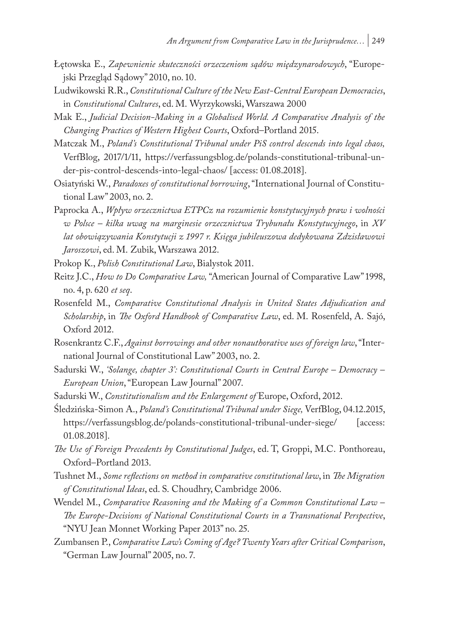- Łętowska E., *Zapewnienie skuteczności orzeczeniom sądów międzynarodowych*, "Europejski Przegląd Sądowy" 2010, no. 10.
- Ludwikowski R.R., *Constitutional Culture of the New East-Central European Democracies*, in *Constitutional Cultures*, ed. M. Wyrzykowski, Warszawa 2000
- Mak E., *Judicial Decision-Making in a Globalised World. A Comparative Analysis of the Changing Practices of Western Highest Courts*, Oxford–Portland 2015.
- Matczak M., *Poland's Constitutional Tribunal under PiS control descends into legal chaos,*  VerfBlog, 2017/1/11, https://verfassungsblog.de/polands-constitutional-tribunal-under-pis-control-descends-into-legal-chaos/ [access: 01.08.2018].
- Osiatyński W., *Paradoxes of constitutional borrowing*, "International Journal of Constitutional Law" 2003, no. 2.
- Paprocka A., *Wpływ orzecznictwa ETPCz na rozumienie konstytucyjnych praw i wolności w Polsce – kilka uwag na marginesie orzecznictwa Trybunału Konstytucyjnego*, in *XV lat obowiązywania Konstytucji z 1997 r. Księga jubileuszowa dedykowana Zdzisławowi Jaroszowi*, ed. M. Zubik, Warszawa 2012.

Prokop K., *Polish Constitutional Law*, Bialystok 2011.

- Reitz J.C., *How to Do Comparative Law,* "American Journal of Comparative Law" 1998, no. 4, p. 620 *et seq*.
- Rosenfeld M., *Comparative Constitutional Analysis in United States Adjudication and Scholarship*, in *The Oxford Handbook of Comparative Law*, ed. M. Rosenfeld, A. Sajó, Oxford 2012.
- Rosenkrantz C.F., *Against borrowings and other nonauthorative uses of foreign law*, "International Journal of Constitutional Law" 2003, no. 2.
- Sadurski W., *'Solange, chapter 3': Constitutional Courts in Central Europe Democracy European Union*, "European Law Journal" 2007.
- Sadurski W., *Constitutionalism and the Enlargement of* Europe, Oxford, 2012.
- Śledzińska-Simon A., *Poland's Constitutional Tribunal under Siege,* VerfBlog, 04.12.2015, https://verfassungsblog.de/polands-constitutional-tribunal-under-siege/ [access: 01.08.2018].
- *The Use of Foreign Precedents by Constitutional Judges*, ed. T, Groppi, M.C. Ponthoreau, Oxford–Portland 2013.
- Tushnet M., *Some reflections on method in comparative constitutional law*, in *The Migration of Constitutional Ideas*, ed. S. Choudhry, Cambridge 2006.
- Wendel M., *Comparative Reasoning and the Making of a Common Constitutional Law The Europe-Decisions of National Constitutional Courts in a Transnational Perspective*, "NYU Jean Monnet Working Paper 2013" no. 25.
- Zumbansen P., *Comparative Law's Coming of Age? Twenty Years after Critical Comparison*, "German Law Journal" 2005, no. 7.